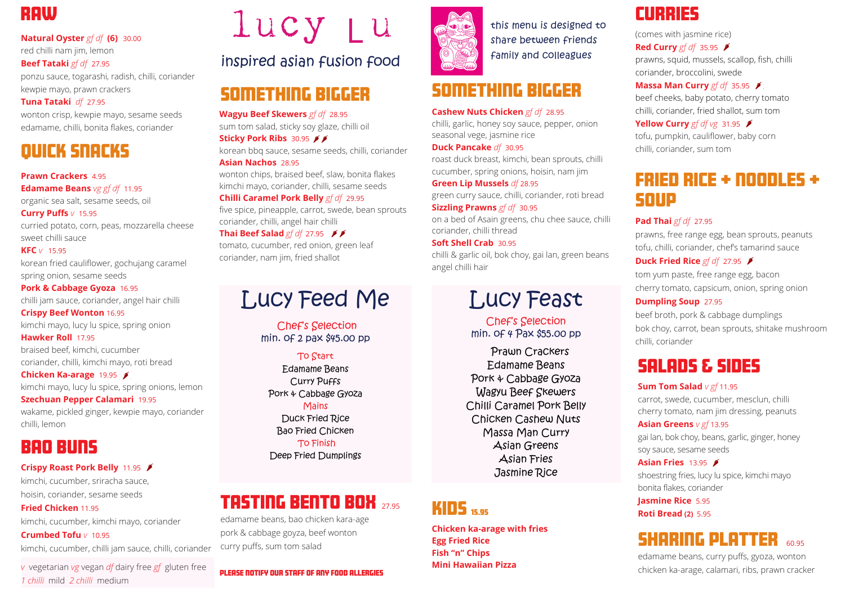### quick snacks

**Prawn Crackers** 495 **Edamame Beans** *vg gf df*11.95 organic sea salt, sesame seeds, oil

**Curry Puffs** *v* 15.95 curried potato, corn, peas, mozzarella cheese sweet chilli sauce

**KFC** *v* 15.95 korean fried cauliflower, gochujang caramel spring onion, sesame seeds

**Pork & Cabbage Gyoza** 16.95 chilli jam sauce, coriander, angel hair chilli **Crispy Beef Wonton** 16.95

kimchi mayo, lucy lu spice, spring onion

**Hawker Roll** 17.95 braised beef, kimchi, cucumber coriander, chilli, kimchi mayo, roti bread

**Chicken Ka-arage** 19.95 kimchi mayo, lucy lu spice, spring onions, lemon **Szechuan Pepper Calamari** 19.95

**Wagyu Beef Skewers** *gf df* 28.95 sum tom salad, sticky soy glaze, chilli oil **Sticky Pork Ribs 30.95 \$\$** 

wakame, pickled ginger, kewpie mayo, coriander chilli, lemon

### **RAW**

**Natural Oyster** *gf df* **(6)** 30.00 red chilli nam jim, lemon

**Beef Tataki** *gf df* 27.95

ponzu sauce, togarashi, radish, chilli, coriander kewpie mayo, prawn crackers

#### **Tuna Tataki** *df* 27.95

wonton crisp, kewpie mayo, sesame seeds edamame, chilli, bonita flakes, coriander

# Lucy Feed Me

Chef's Selection min. of 2 pax \$45.00 pp

#### To Start

Edamame Beans Curry Puffs Pork & Cabbage Gyoza Mains Duck Fried Rice Bao Fried Chicken To Finish Deep Fried Dumplings

korean bbq sauce, sesame seeds, chilli, coriander **Asian Nachos** 28.95

wonton chips, braised beef, slaw, bonita flakes kimchi mayo, coriander, chilli, sesame seeds

#### **Chilli Caramel Pork Belly** *gf df* 29.95

five spice, pineapple, carrot, swede, bean sprouts coriander, chilli, angel hair chilli

#### **Thai Beef Salad** *gf df* 27.95

tomato, cucumber, red onion, green leaf coriander, nam jim, fried shallot

#### please notify our staff of any food allergies



### bao buns

#### **Crispy Roast Pork Belly** 11.95

kimchi, cucumber, sriracha sauce, hoisin, coriander, sesame seeds

**Fried Chicken** 11.95 kimchi, cucumber, kimchi mayo, coriander

**Crumbed Tofu** *v* 10.95

kimchi, cucumber, chilli jam sauce, chilli, coriander

### something bigger

## Lucy Feast

Chef's Selection min. of 4 Pax \$55.00 pp

Prawn Crackers Edamame Beans Pork & Cabbage Gyoza Wagyu Beef Skewers Chilli Caramel Pork Belly Chicken Cashew Nuts Massa Man Curry Asian Greens Asian Fries Jasmine Rice

(comes with jasmine rice) **Red Curry** *gf df* 35.95 prawns, squid, mussels, scallop, fish, chilli coriander, broccolini, swede **Massa Man Curry** *gf df*35.95 beef cheeks, baby potato, cherry tomato chilli, coriander, fried shallot, sum tom **Yellow Curry** *gf df vg* 31.95 tofu, pumpkin, cauliflower, baby corn chilli, coriander, sum tom

### fried rice + noodles + soup

#### **Pad Thai** *gf df* 27.95

prawns, free range egg, bean sprouts, peanuts tofu, chilli, coriander, chef's tamarind sauce

#### **Duck Fried Rice** *gf df* 27.95

tom yum paste, free range egg, bacon cherry tomato, capsicum, onion, spring onion

#### **Dumpling Soup** 27.95

beef broth, pork & cabbage dumplings bok choy, carrot, bean sprouts, shitake mushroom chilli, coriander

### kids 15.95

**Chicken ka-arage with fries Egg Fried Rice Fish "n" Chips Mini Hawaiian Pizza**

### **CURRIES**

edamame beans, curry puffs, gyoza, wonton chicken ka-arage, calamari, ribs, prawn cracker

### something bigger

#### **Cashew Nuts Chicken** *gf df* 28.95

chilli, garlic, honey soy sauce, pepper, onion seasonal vege, jasmine rice

#### **Duck Pancake** *df*30.95

roast duck breast, kimchi, bean sprouts, chilli cucumber, spring onions, hoisin, nam jim

#### **Green Lip Mussels** *df* 28.95

green curry sauce, chilli, coriander, roti bread **Sizzling Prawns** *gf df* 30.95

on a bed of Asain greens, chu chee sauce, chilli coriander, chilli thread

#### **Soft Shell Crab** 30.95

chilli & garlic oil, bok choy, gai lan, green beans angel chilli hair

### tasting bento box 27.95

edamame beans, bao chicken kara-age pork & cabbage goyza, beef wonton curry puffs, sum tom salad

### salads & sides

#### **Sum Tom Salad** *v gf* 11.95

carrot, swede, cucumber, mesclun, chilli cherry tomato, nam jim dressing, peanuts

#### **Asian Greens** *v gf* 13.95

gai lan, bok choy, beans, garlic, ginger, honey soy sauce, sesame seeds

#### **Asian Fries** 13.95 **F**

shoestring fries, lucy lu spice, kimchi mayo bonita flakes, coriander

### **Jasmine Rice** 5.95

**Roti Bread (2)** 5.95

### **SHARING PLATTER 60.95**

### inspired asian fusion food

this menu is designed to share between friends family and colleagues

*v* vegetarian *vg* vegan *df* dairy free *gf* gluten free *1 chilli* mild *2 chilli* medium

# lucy Lu